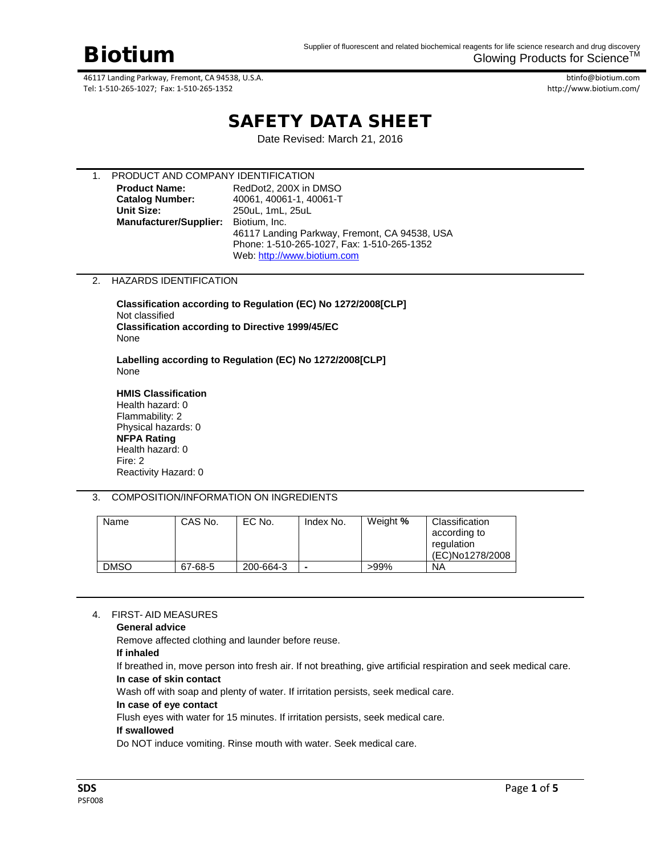btinfo@biotium.com http://www.biotium.com/

# SAFETY DATA SHEET

Date Revised: March 21, 2016

| PRODUCT AND COMPANY IDENTIFICATION |                                               |
|------------------------------------|-----------------------------------------------|
| <b>Product Name:</b>               | RedDot2, 200X in DMSO                         |
| <b>Catalog Number:</b>             | 40061, 40061-1, 40061-T                       |
| <b>Unit Size:</b>                  | 250uL, 1mL, 25uL                              |
| <b>Manufacturer/Supplier:</b>      | Biotium, Inc.                                 |
|                                    | 46117 Landing Parkway, Fremont, CA 94538, USA |
|                                    | Phone: 1-510-265-1027, Fax: 1-510-265-1352    |
|                                    | Web: http://www.biotium.com                   |

#### 2. HAZARDS IDENTIFICATION

**Classification according to Regulation (EC) No 1272/2008[CLP]** Not classified **Classification according to Directive 1999/45/EC**  None

**Labelling according to Regulation (EC) No 1272/2008[CLP]** None

**HMIS Classification** Health hazard: 0 Flammability: 2 Physical hazards: 0 **NFPA Rating** Health hazard: 0 Fire: 2 Reactivity Hazard: 0

3. COMPOSITION/INFORMATION ON INGREDIENTS

| Name        | CAS No. | EC No.    | Index No. | Weight % | Classification<br>according to<br>regulation<br>(EC)No1278/2008 |
|-------------|---------|-----------|-----------|----------|-----------------------------------------------------------------|
| <b>DMSO</b> | 67-68-5 | 200-664-3 |           | $>99\%$  | NA                                                              |

#### 4. FIRST- AID MEASURES

**General advice**

Remove affected clothing and launder before reuse.

**If inhaled**

If breathed in, move person into fresh air. If not breathing, give artificial respiration and seek medical care. **In case of skin contact**

Wash off with soap and plenty of water. If irritation persists, seek medical care.

**In case of eye contact**

Flush eyes with water for 15 minutes. If irritation persists, seek medical care.

#### **If swallowed**

Do NOT induce vomiting. Rinse mouth with water. Seek medical care.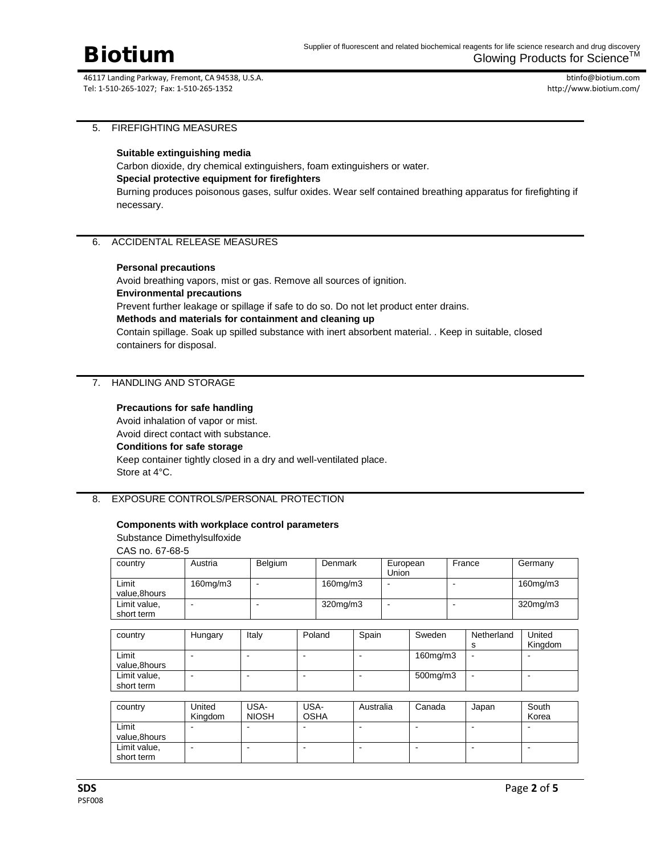btinfo@biotium.com http://www.biotium.com/

#### 5. FIREFIGHTING MEASURES

#### **Suitable extinguishing media**

Carbon dioxide, dry chemical extinguishers, foam extinguishers or water.

#### **Special protective equipment for firefighters**

Burning produces poisonous gases, sulfur oxides. Wear self contained breathing apparatus for firefighting if necessary.

#### 6. ACCIDENTAL RELEASE MEASURES

#### **Personal precautions**

Avoid breathing vapors, mist or gas. Remove all sources of ignition. **Environmental precautions** Prevent further leakage or spillage if safe to do so. Do not let product enter drains. **Methods and materials for containment and cleaning up** Contain spillage. Soak up spilled substance with inert absorbent material. . Keep in suitable, closed containers for disposal.

#### 7. HANDLING AND STORAGE

#### **Precautions for safe handling**

Avoid inhalation of vapor or mist. Avoid direct contact with substance. **Conditions for safe storage** Keep container tightly closed in a dry and well-ventilated place. Store at 4°C.

#### 8. EXPOSURE CONTROLS/PERSONAL PROTECTION

#### **Components with workplace control parameters**

#### Substance Dimethylsulfoxide

CAS no. 67-68-5

| country                    | Austria        | <b>Belgium</b> | Denmark  |       | European<br>Union |        | France     | Germany           |
|----------------------------|----------------|----------------|----------|-------|-------------------|--------|------------|-------------------|
| Limit<br>value,8hours      | $160$ mg/m $3$ |                | 160mg/m3 |       | -                 |        |            | 160mg/m3          |
| Limit value,<br>short term |                |                | 320mg/m3 |       |                   |        |            | $320$ mg/m $3$    |
|                            |                |                |          |       |                   |        |            |                   |
| country                    | Hungary        | Italy          | Poland   | Spain |                   | Sweden | Netherland | United<br>Kingdom |

| ---------    | ------- | . | ------ | - - - - - - - - - | . | ------- |
|--------------|---------|---|--------|-------------------|---|---------|
|              |         |   |        |                   |   | Kingdom |
| Limit        |         |   |        | $160$ mg/m $3$    |   |         |
| value,8hours |         |   |        |                   |   |         |
| Limit value, |         |   |        | 500mg/m3          |   |         |
| short term   |         |   |        |                   |   |         |

| country                    | United<br>Kingdom | USA-<br><b>NIOSH</b> | USA-<br><b>OSHA</b> | Australia | Canada | Japan | South<br>Korea |
|----------------------------|-------------------|----------------------|---------------------|-----------|--------|-------|----------------|
| Limit<br>value.8hours      |                   |                      |                     |           |        |       |                |
| Limit value,<br>short term |                   |                      |                     |           |        |       |                |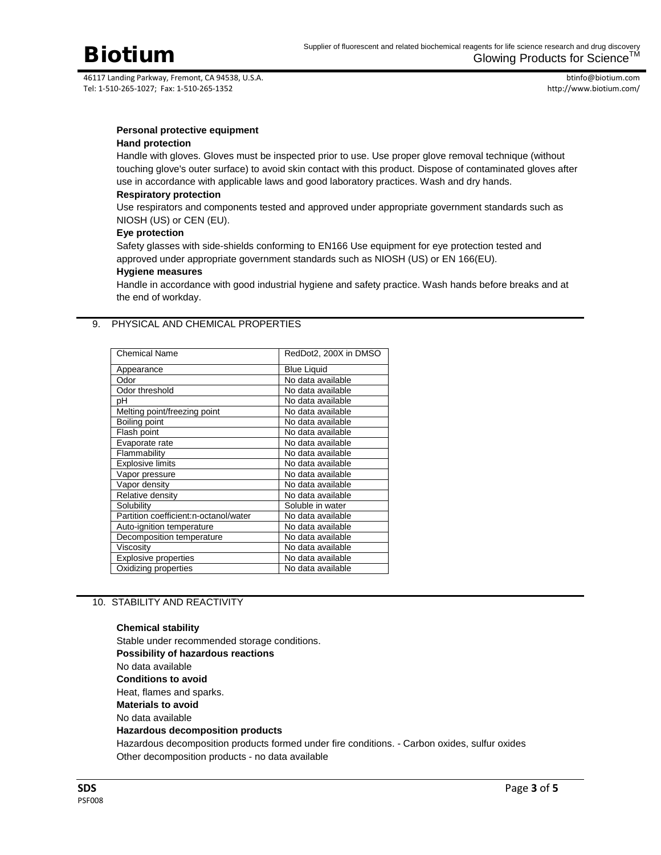

btinfo@biotium.com http://www.biotium.com/

## **Personal protective equipment**

### **Hand protection**

Handle with gloves. Gloves must be inspected prior to use. Use proper glove removal technique (without touching glove's outer surface) to avoid skin contact with this product. Dispose of contaminated gloves after use in accordance with applicable laws and good laboratory practices. Wash and dry hands.

#### **Respiratory protection**

Use respirators and components tested and approved under appropriate government standards such as NIOSH (US) or CEN (EU).

#### **Eye protection**

Safety glasses with side-shields conforming to EN166 Use equipment for eye protection tested and approved under appropriate government standards such as NIOSH (US) or EN 166(EU).

#### **Hygiene measures**

Handle in accordance with good industrial hygiene and safety practice. Wash hands before breaks and at the end of workday.

#### 9. PHYSICAL AND CHEMICAL PROPERTIES

| <b>Chemical Name</b>                  | RedDot2, 200X in DMSO |
|---------------------------------------|-----------------------|
| Appearance                            | <b>Blue Liquid</b>    |
| Odor                                  | No data available     |
| Odor threshold                        | No data available     |
| рH                                    | No data available     |
| Melting point/freezing point          | No data available     |
| Boiling point                         | No data available     |
| Flash point                           | No data available     |
| Evaporate rate                        | No data available     |
| Flammability                          | No data available     |
| <b>Explosive limits</b>               | No data available     |
| Vapor pressure                        | No data available     |
| Vapor density                         | No data available     |
| Relative density                      | No data available     |
| Solubility                            | Soluble in water      |
| Partition coefficient:n-octanol/water | No data available     |
| Auto-ignition temperature             | No data available     |
| Decomposition temperature             | No data available     |
| Viscositv                             | No data available     |
| Explosive properties                  | No data available     |
| Oxidizing properties                  | No data available     |

#### 10. STABILITY AND REACTIVITY

## **Chemical stability**

Stable under recommended storage conditions. **Possibility of hazardous reactions** No data available **Conditions to avoid** Heat, flames and sparks. **Materials to avoid** No data available **Hazardous decomposition products** Hazardous decomposition products formed under fire conditions. - Carbon oxides, sulfur oxides Other decomposition products - no data available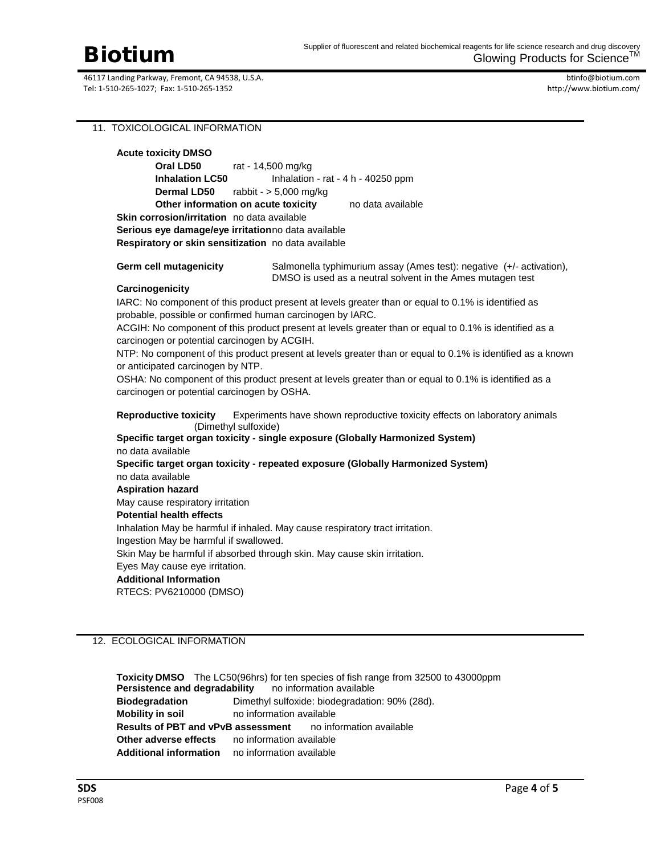btinfo@biotium.com http://www.biotium.com/

### 11. TOXICOLOGICAL INFORMATION

| <b>Acute toxicity DMSO</b>                                                                                                         |                                                                                                                                    |  |  |  |  |  |
|------------------------------------------------------------------------------------------------------------------------------------|------------------------------------------------------------------------------------------------------------------------------------|--|--|--|--|--|
| Oral LD50<br>rat - 14,500 mg/kg                                                                                                    |                                                                                                                                    |  |  |  |  |  |
| <b>Inhalation LC50</b>                                                                                                             | Inhalation - rat - 4 h - 40250 ppm                                                                                                 |  |  |  |  |  |
| rabbit - $> 5,000$ mg/kg<br><b>Dermal LD50</b>                                                                                     |                                                                                                                                    |  |  |  |  |  |
| Other information on acute toxicity                                                                                                | no data available                                                                                                                  |  |  |  |  |  |
| Skin corrosion/irritation no data available                                                                                        |                                                                                                                                    |  |  |  |  |  |
| Serious eye damage/eye irritationno data available                                                                                 |                                                                                                                                    |  |  |  |  |  |
| Respiratory or skin sensitization no data available                                                                                |                                                                                                                                    |  |  |  |  |  |
| <b>Germ cell mutagenicity</b>                                                                                                      | Salmonella typhimurium assay (Ames test): negative (+/- activation),<br>DMSO is used as a neutral solvent in the Ames mutagen test |  |  |  |  |  |
| Carcinogenicity                                                                                                                    |                                                                                                                                    |  |  |  |  |  |
|                                                                                                                                    | IARC: No component of this product present at levels greater than or equal to 0.1% is identified as                                |  |  |  |  |  |
| probable, possible or confirmed human carcinogen by IARC.                                                                          |                                                                                                                                    |  |  |  |  |  |
| carcinogen or potential carcinogen by ACGIH.                                                                                       | ACGIH: No component of this product present at levels greater than or equal to 0.1% is identified as a                             |  |  |  |  |  |
|                                                                                                                                    | NTP: No component of this product present at levels greater than or equal to 0.1% is identified as a known                         |  |  |  |  |  |
| or anticipated carcinogen by NTP.                                                                                                  |                                                                                                                                    |  |  |  |  |  |
| OSHA: No component of this product present at levels greater than or equal to 0.1% is identified as a                              |                                                                                                                                    |  |  |  |  |  |
| carcinogen or potential carcinogen by OSHA.                                                                                        |                                                                                                                                    |  |  |  |  |  |
| <b>Reproductive toxicity</b><br>Experiments have shown reproductive toxicity effects on laboratory animals<br>(Dimethyl sulfoxide) |                                                                                                                                    |  |  |  |  |  |
| Specific target organ toxicity - single exposure (Globally Harmonized System)                                                      |                                                                                                                                    |  |  |  |  |  |
| no data available                                                                                                                  |                                                                                                                                    |  |  |  |  |  |
|                                                                                                                                    | Specific target organ toxicity - repeated exposure (Globally Harmonized System)                                                    |  |  |  |  |  |
| no data available                                                                                                                  |                                                                                                                                    |  |  |  |  |  |
| <b>Aspiration hazard</b>                                                                                                           |                                                                                                                                    |  |  |  |  |  |
| May cause respiratory irritation                                                                                                   |                                                                                                                                    |  |  |  |  |  |
| <b>Potential health effects</b>                                                                                                    |                                                                                                                                    |  |  |  |  |  |
| Inhalation May be harmful if inhaled. May cause respiratory tract irritation.                                                      |                                                                                                                                    |  |  |  |  |  |
| Ingestion May be harmful if swallowed.                                                                                             |                                                                                                                                    |  |  |  |  |  |
| Skin May be harmful if absorbed through skin. May cause skin irritation.                                                           |                                                                                                                                    |  |  |  |  |  |
| Eyes May cause eye irritation.                                                                                                     |                                                                                                                                    |  |  |  |  |  |
| <b>Additional Information</b>                                                                                                      |                                                                                                                                    |  |  |  |  |  |

RTECS: PV6210000 (DMSO)

### 12. ECOLOGICAL INFORMATION

**Toxicity DMSO** The LC50(96hrs) for ten species of fish range from 32500 to 43000ppm<br>**Persistence and degradability** no information available **Persistence and degradability Biodegradation** Dimethyl sulfoxide: biodegradation: 90% (28d). **Mobility in soil** no information available **Results of PBT and vPvB assessment** no information available **Other adverse effects** no information available **Additional information** no information available